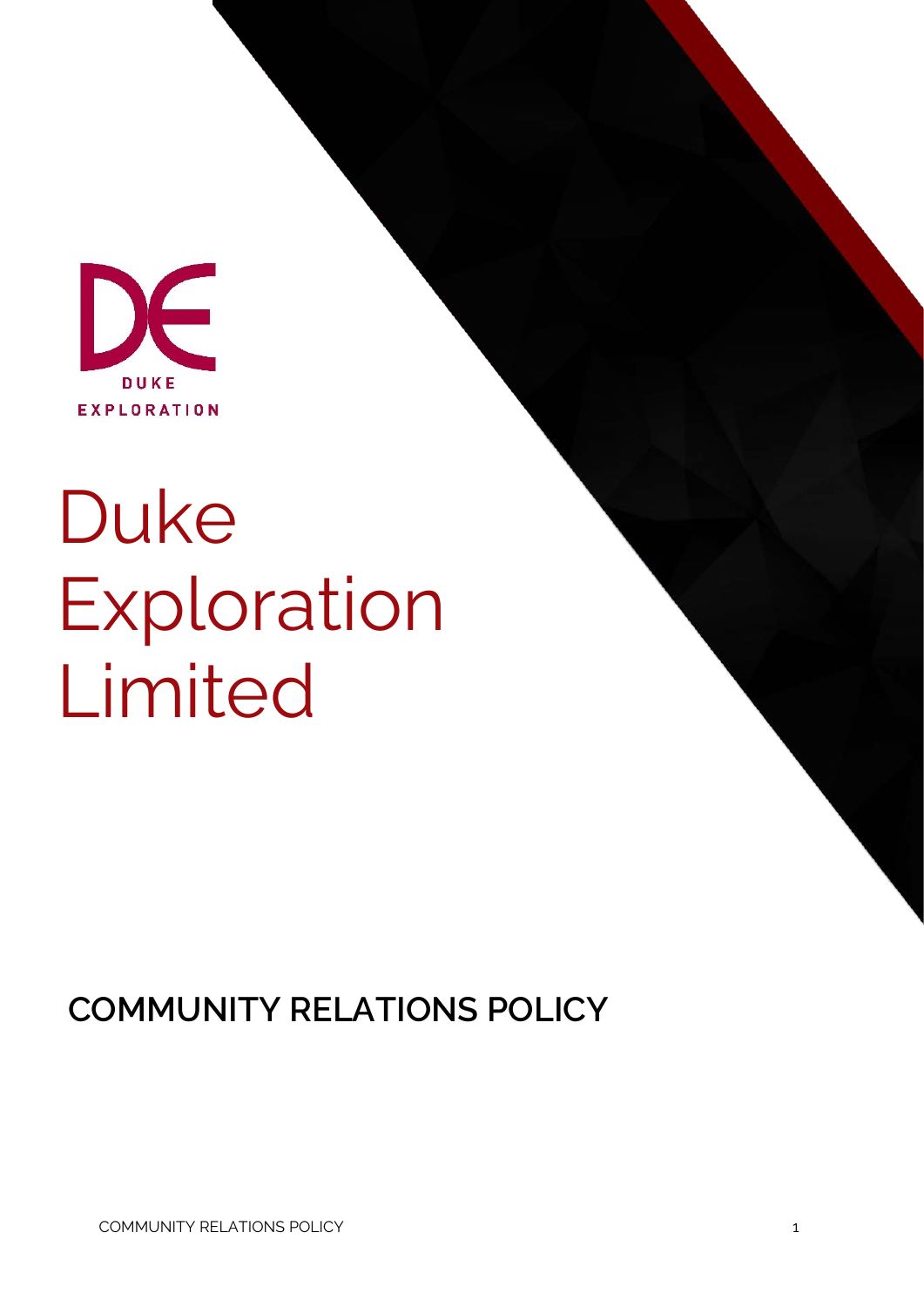

# Duke Exploration Limited

**COMMUNITY RELATIONS POLICY**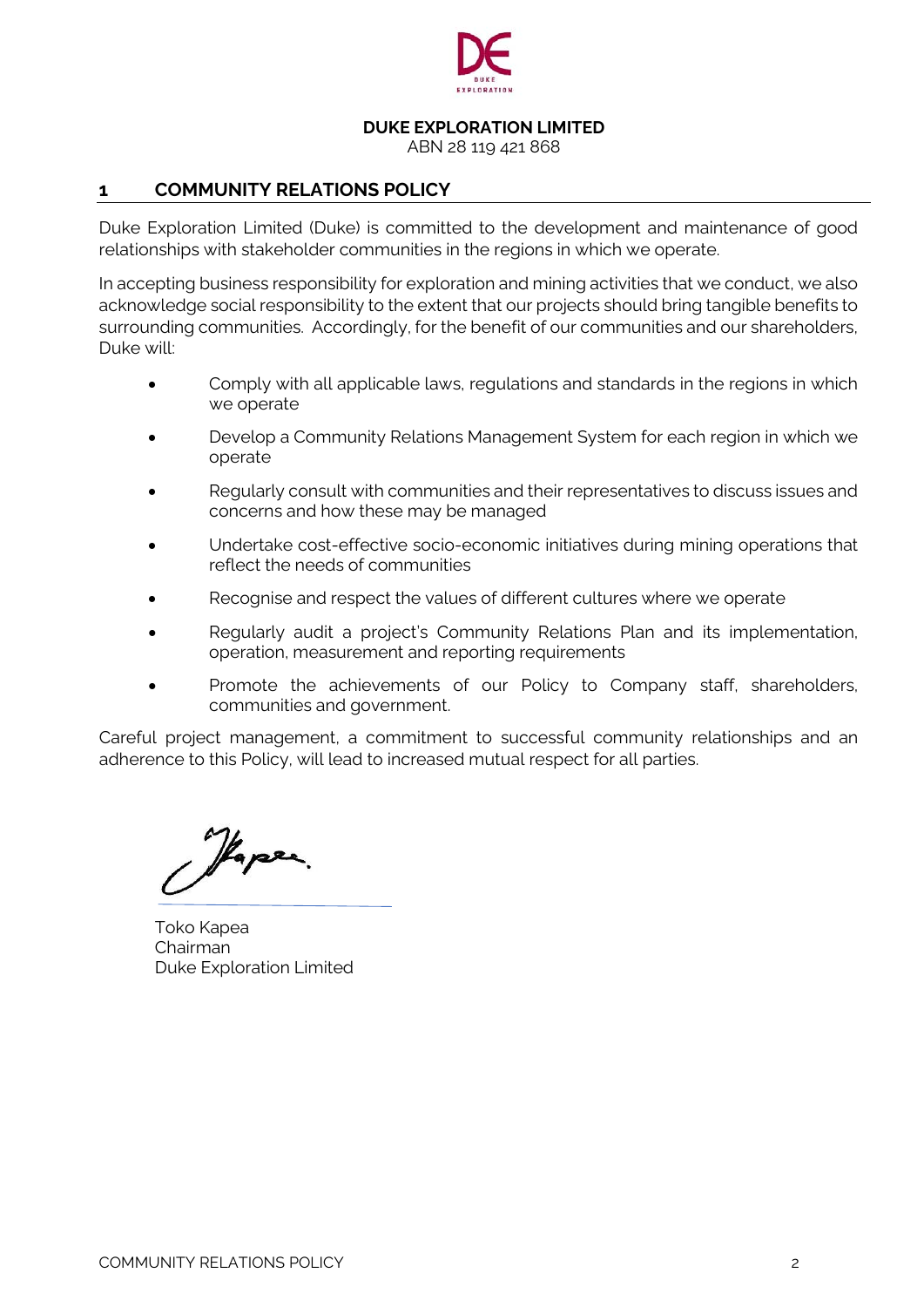

**DUKE EXPLORATION LIMITED**

ABN 28 119 421 868

# **1 COMMUNITY RELATIONS POLICY**

Duke Exploration Limited (Duke) is committed to the development and maintenance of good relationships with stakeholder communities in the regions in which we operate.

In accepting business responsibility for exploration and mining activities that we conduct, we also acknowledge social responsibility to the extent that our projects should bring tangible benefits to surrounding communities. Accordingly, for the benefit of our communities and our shareholders, Duke will:

- Comply with all applicable laws, regulations and standards in the regions in which we operate
- Develop a Community Relations Management System for each region in which we operate
- Regularly consult with communities and their representatives to discuss issues and concerns and how these may be managed
- Undertake cost-effective socio-economic initiatives during mining operations that reflect the needs of communities
- Recognise and respect the values of different cultures where we operate
- Regularly audit a project's Community Relations Plan and its implementation, operation, measurement and reporting requirements
- Promote the achievements of our Policy to Company staff, shareholders, communities and government.

Careful project management, a commitment to successful community relationships and an adherence to this Policy, will lead to increased mutual respect for all parties.

Haper.

Toko Kapea Chairman Duke Exploration Limited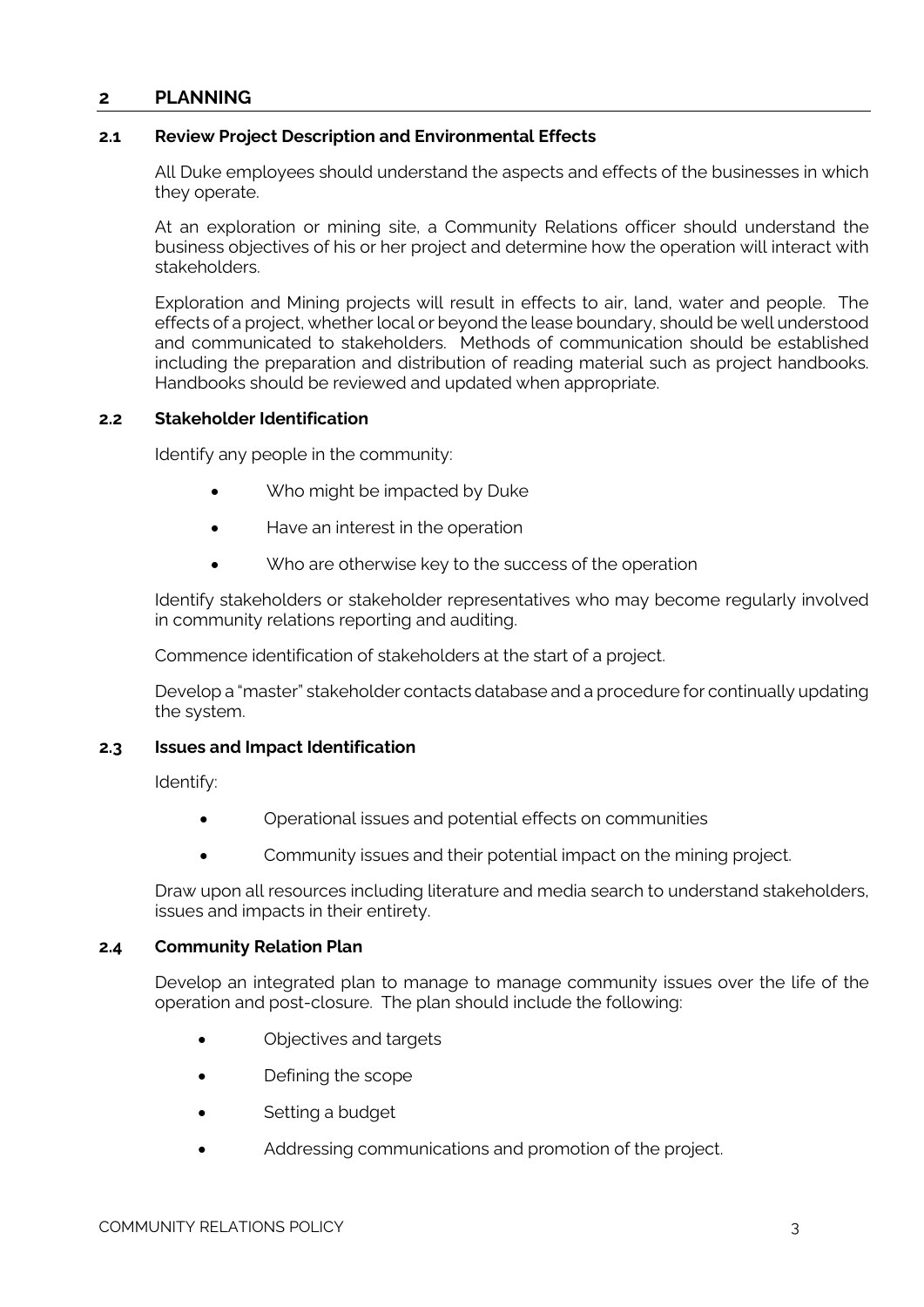# **2 PLANNING**

#### **2.1 Review Project Description and Environmental Effects**

All Duke employees should understand the aspects and effects of the businesses in which they operate.

At an exploration or mining site, a Community Relations officer should understand the business objectives of his or her project and determine how the operation will interact with stakeholders.

Exploration and Mining projects will result in effects to air, land, water and people. The effects of a project, whether local or beyond the lease boundary, should be well understood and communicated to stakeholders. Methods of communication should be established including the preparation and distribution of reading material such as project handbooks. Handbooks should be reviewed and updated when appropriate.

#### **2.2 Stakeholder Identification**

Identify any people in the community:

- Who might be impacted by Duke
- Have an interest in the operation
- Who are otherwise key to the success of the operation

Identify stakeholders or stakeholder representatives who may become regularly involved in community relations reporting and auditing.

Commence identification of stakeholders at the start of a project.

Develop a "master" stakeholder contacts database and a procedure for continually updating the system.

# **2.3 Issues and Impact Identification**

Identify:

- Operational issues and potential effects on communities
- Community issues and their potential impact on the mining project.

Draw upon all resources including literature and media search to understand stakeholders, issues and impacts in their entirety.

#### **2.4 Community Relation Plan**

Develop an integrated plan to manage to manage community issues over the life of the operation and post-closure. The plan should include the following:

- Objectives and targets
- Defining the scope
- Setting a budget
- Addressing communications and promotion of the project.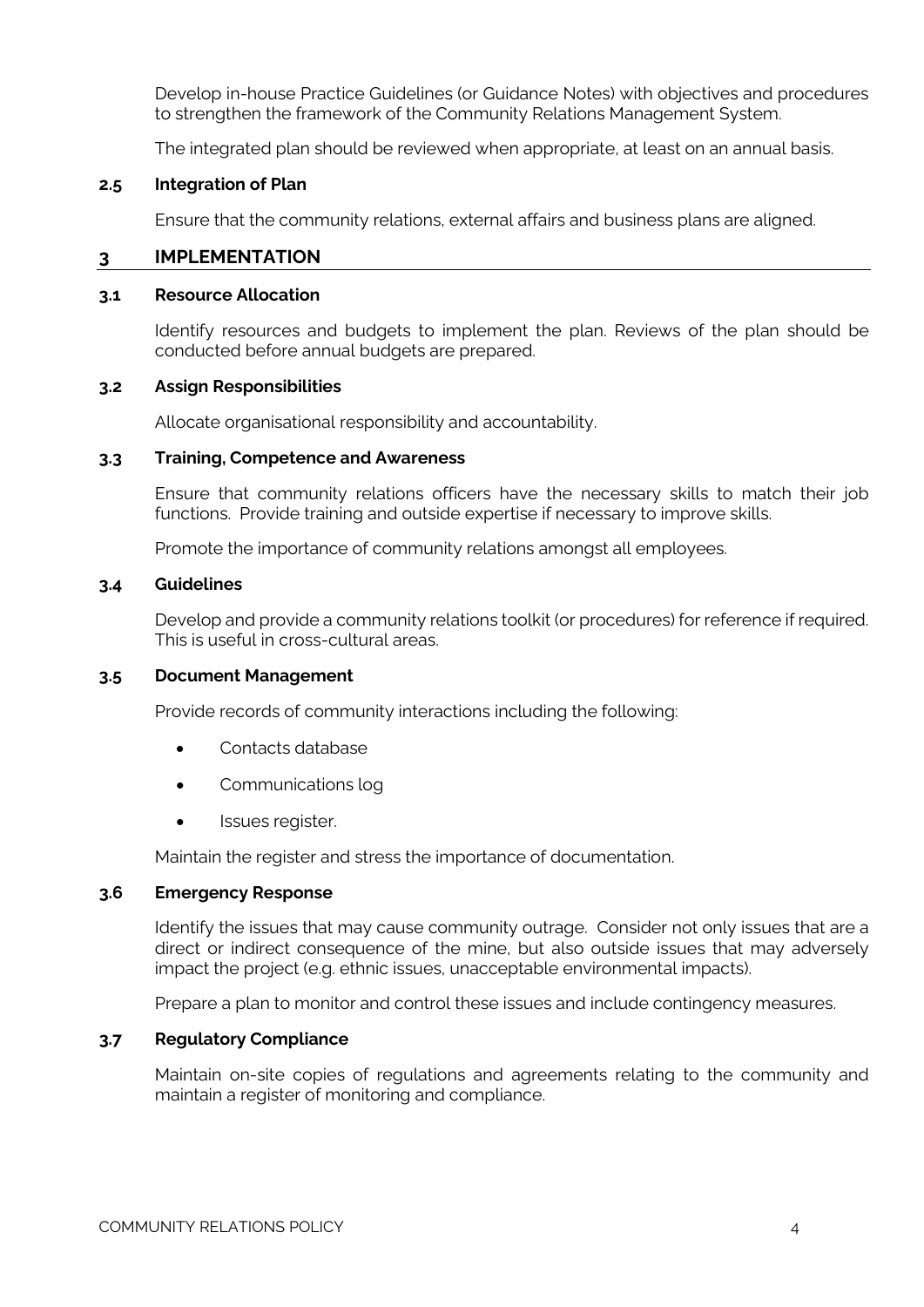Develop in-house Practice Guidelines (or Guidance Notes) with objectives and procedures to strengthen the framework of the Community Relations Management System.

The integrated plan should be reviewed when appropriate, at least on an annual basis.

#### **2.5 Integration of Plan**

Ensure that the community relations, external affairs and business plans are aligned.

### **3 IMPLEMENTATION**

#### **3.1 Resource Allocation**

Identify resources and budgets to implement the plan. Reviews of the plan should be conducted before annual budgets are prepared.

#### **3.2 Assign Responsibilities**

Allocate organisational responsibility and accountability.

#### **3.3 Training, Competence and Awareness**

Ensure that community relations officers have the necessary skills to match their job functions. Provide training and outside expertise if necessary to improve skills.

Promote the importance of community relations amongst all employees.

#### **3.4 Guidelines**

Develop and provide a community relations toolkit (or procedures) for reference if required. This is useful in cross-cultural areas.

#### **3.5 Document Management**

Provide records of community interactions including the following:

- Contacts database
- Communications log
- Issues register.

Maintain the register and stress the importance of documentation.

#### **3.6 Emergency Response**

Identify the issues that may cause community outrage. Consider not only issues that are a direct or indirect consequence of the mine, but also outside issues that may adversely impact the project (e.g. ethnic issues, unacceptable environmental impacts).

Prepare a plan to monitor and control these issues and include contingency measures.

#### **3.7 Regulatory Compliance**

Maintain on-site copies of regulations and agreements relating to the community and maintain a register of monitoring and compliance.